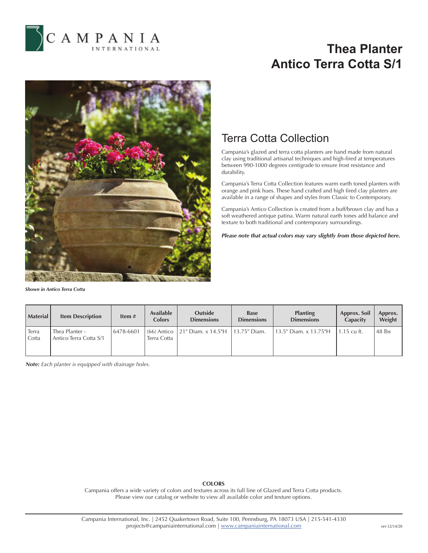

# **Thea Planter Antico Terra Cotta S/1**



*Shown in Antico Terra Cotta*

### Terra Cotta Collection

Campania's glazed and terra cotta planters are hand made from natural clay using traditional artisanal techniques and high-fired at temperatures between 990-1000 degrees centigrade to ensure frost resistance and durability.

Campania's Terra Cotta Collection features warm earth toned planters with orange and pink hues. These hand crafted and high fired clay planters are available in a range of shapes and styles from Classic to Contemporary.

Campania's Antico Collection is created from a buff/brown clay and has a soft weathered antique patina. Warm natural earth tones add balance and texture to both traditional and contemporary surroundings.

*Please note that actual colors may vary slightly from those depicted here.*

| <b>Material</b> | <b>Item Description</b>                  | Item $#$  | <b>Available</b><br><b>Colors</b> | <b>Outside</b><br><b>Dimensions</b>             | <b>Base</b><br><b>Dimensions</b> | <b>Planting</b><br><b>Dimensions</b> | Approx. Soil<br>Capacity | Approx.<br>Weight |
|-----------------|------------------------------------------|-----------|-----------------------------------|-------------------------------------------------|----------------------------------|--------------------------------------|--------------------------|-------------------|
| Terra<br>Cotta  | Thea Planter -<br>Antico Terra Cotta S/1 | 6478-6601 | Terra Cotta                       | (66) Antico   21" Diam. x 14.5"H   13.75" Diam. |                                  | 13.5" Diam. x 13.75"H                | 1.15 cu ft.              | $48$ lbs          |

*Note: Each planter is equipped with drainage holes.*

### **COLORS**

Campania offers a wide variety of colors and textures across its full line of Glazed and Terra Cotta products. Please view our catalog or website to view all available color and texture options.